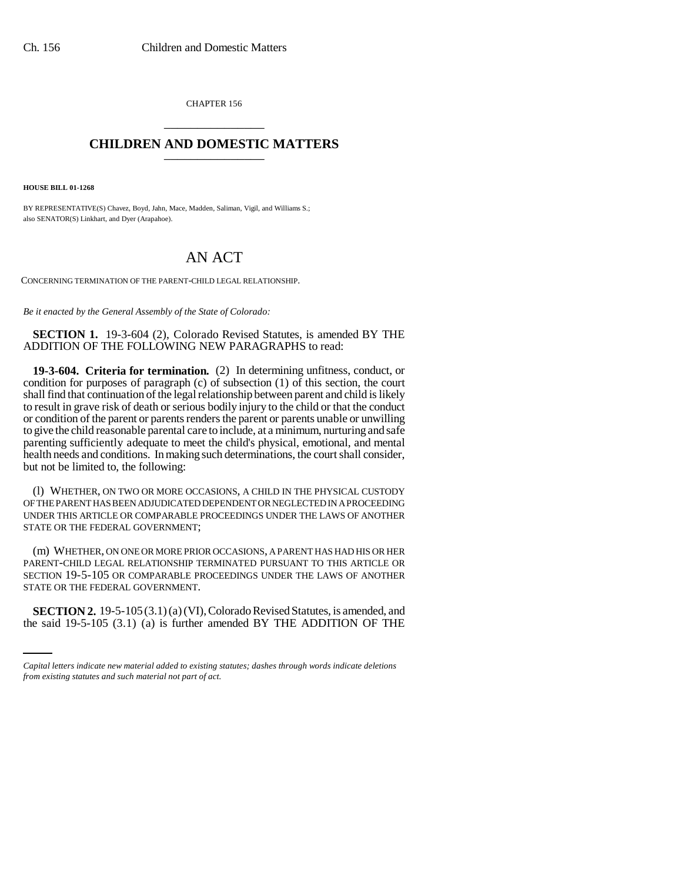CHAPTER 156 \_\_\_\_\_\_\_\_\_\_\_\_\_\_\_

## **CHILDREN AND DOMESTIC MATTERS** \_\_\_\_\_\_\_\_\_\_\_\_\_\_\_

**HOUSE BILL 01-1268**

BY REPRESENTATIVE(S) Chavez, Boyd, Jahn, Mace, Madden, Saliman, Vigil, and Williams S.; also SENATOR(S) Linkhart, and Dyer (Arapahoe).

## AN ACT

CONCERNING TERMINATION OF THE PARENT-CHILD LEGAL RELATIONSHIP.

*Be it enacted by the General Assembly of the State of Colorado:*

**SECTION 1.** 19-3-604 (2), Colorado Revised Statutes, is amended BY THE ADDITION OF THE FOLLOWING NEW PARAGRAPHS to read:

**19-3-604. Criteria for termination.** (2) In determining unfitness, conduct, or condition for purposes of paragraph (c) of subsection (1) of this section, the court shall find that continuation of the legal relationship between parent and child is likely to result in grave risk of death or serious bodily injury to the child or that the conduct or condition of the parent or parents renders the parent or parents unable or unwilling to give the child reasonable parental care to include, at a minimum, nurturing and safe parenting sufficiently adequate to meet the child's physical, emotional, and mental health needs and conditions. In making such determinations, the court shall consider, but not be limited to, the following:

(l) WHETHER, ON TWO OR MORE OCCASIONS, A CHILD IN THE PHYSICAL CUSTODY OF THE PARENT HAS BEEN ADJUDICATED DEPENDENT OR NEGLECTED IN A PROCEEDING UNDER THIS ARTICLE OR COMPARABLE PROCEEDINGS UNDER THE LAWS OF ANOTHER STATE OR THE FEDERAL GOVERNMENT;

STATE OR THE FEDERAL GOVERNMENT. (m) WHETHER, ON ONE OR MORE PRIOR OCCASIONS, A PARENT HAS HAD HIS OR HER PARENT-CHILD LEGAL RELATIONSHIP TERMINATED PURSUANT TO THIS ARTICLE OR SECTION 19-5-105 OR COMPARABLE PROCEEDINGS UNDER THE LAWS OF ANOTHER

**SECTION 2.** 19-5-105 (3.1) (a) (VI), Colorado Revised Statutes, is amended, and the said 19-5-105 (3.1) (a) is further amended BY THE ADDITION OF THE

*Capital letters indicate new material added to existing statutes; dashes through words indicate deletions from existing statutes and such material not part of act.*